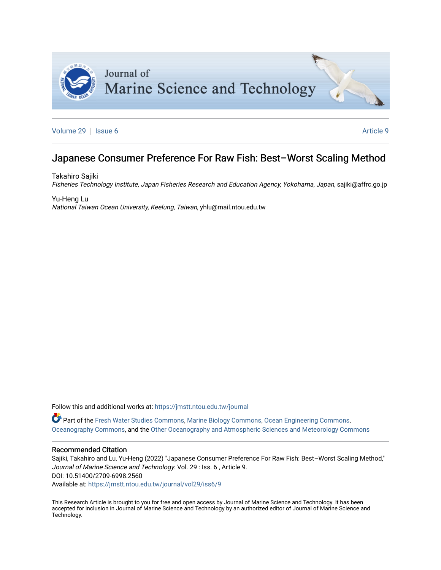

[Volume 29](https://jmstt.ntou.edu.tw/journal/vol29) | [Issue 6](https://jmstt.ntou.edu.tw/journal/vol29/iss6) Article 9

# Japanese Consumer Preference For Raw Fish: Best-Worst Scaling Method

Takahiro Sajiki Fisheries Technology Institute, Japan Fisheries Research and Education Agency, Yokohama, Japan, sajiki@affrc.go.jp

Yu-Heng Lu National Taiwan Ocean University, Keelung, Taiwan, yhlu@mail.ntou.edu.tw

Follow this and additional works at: [https://jmstt.ntou.edu.tw/journal](https://jmstt.ntou.edu.tw/journal?utm_source=jmstt.ntou.edu.tw%2Fjournal%2Fvol29%2Fiss6%2F9&utm_medium=PDF&utm_campaign=PDFCoverPages)

Part of the [Fresh Water Studies Commons,](http://network.bepress.com/hgg/discipline/189?utm_source=jmstt.ntou.edu.tw%2Fjournal%2Fvol29%2Fiss6%2F9&utm_medium=PDF&utm_campaign=PDFCoverPages) [Marine Biology Commons](http://network.bepress.com/hgg/discipline/1126?utm_source=jmstt.ntou.edu.tw%2Fjournal%2Fvol29%2Fiss6%2F9&utm_medium=PDF&utm_campaign=PDFCoverPages), [Ocean Engineering Commons,](http://network.bepress.com/hgg/discipline/302?utm_source=jmstt.ntou.edu.tw%2Fjournal%2Fvol29%2Fiss6%2F9&utm_medium=PDF&utm_campaign=PDFCoverPages) [Oceanography Commons](http://network.bepress.com/hgg/discipline/191?utm_source=jmstt.ntou.edu.tw%2Fjournal%2Fvol29%2Fiss6%2F9&utm_medium=PDF&utm_campaign=PDFCoverPages), and the [Other Oceanography and Atmospheric Sciences and Meteorology Commons](http://network.bepress.com/hgg/discipline/192?utm_source=jmstt.ntou.edu.tw%2Fjournal%2Fvol29%2Fiss6%2F9&utm_medium=PDF&utm_campaign=PDFCoverPages) 

# Recommended Citation

Sajiki, Takahiro and Lu, Yu-Heng (2022) "Japanese Consumer Preference For Raw Fish: Best–Worst Scaling Method," Journal of Marine Science and Technology: Vol. 29 : Iss. 6 , Article 9. DOI: 10.51400/2709-6998.2560

Available at: [https://jmstt.ntou.edu.tw/journal/vol29/iss6/9](https://jmstt.ntou.edu.tw/journal/vol29/iss6/9?utm_source=jmstt.ntou.edu.tw%2Fjournal%2Fvol29%2Fiss6%2F9&utm_medium=PDF&utm_campaign=PDFCoverPages)

This Research Article is brought to you for free and open access by Journal of Marine Science and Technology. It has been accepted for inclusion in Journal of Marine Science and Technology by an authorized editor of Journal of Marine Science and Technology.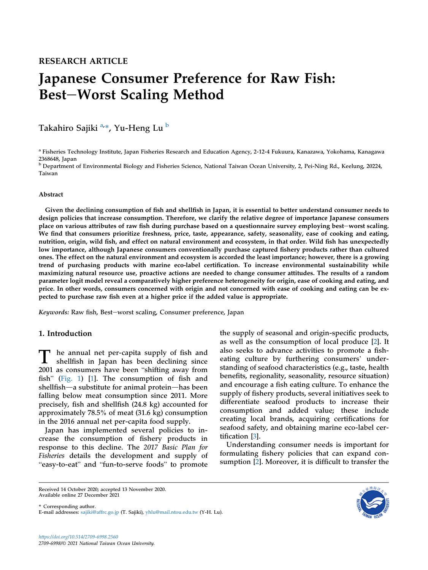# Japanese Consumer Preference for Raw Fish: Best-Worst Scaling Method

Takahiro Sajiki <sup>[a,](#page-1-0)</sup>\*, Yu-Heng Lu <sup>[b](#page-1-1)</sup>

<span id="page-1-0"></span><sup>a</sup> Fisheries Technology Institute, Japan Fisheries Research and Education Agency, 2-12-4 Fukuura, Kanazawa, Yokohama, Kanagawa 2368648, Japan

<span id="page-1-1"></span><sup>b</sup> Department of Environmental Biology and Fisheries Science, National Taiwan Ocean University, 2, Pei-Ning Rd., Keelung, 20224, Taiwan

# Abstract

Given the declining consumption of fish and shellfish in Japan, it is essential to better understand consumer needs to design policies that increase consumption. Therefore, we clarify the relative degree of importance Japanese consumers place on various attributes of raw fish during purchase based on a questionnaire survey employing best-worst scaling. We find that consumers prioritize freshness, price, taste, appearance, safety, seasonality, ease of cooking and eating, nutrition, origin, wild fish, and effect on natural environment and ecosystem, in that order. Wild fish has unexpectedly low importance, although Japanese consumers conventionally purchase captured fishery products rather than cultured ones. The effect on the natural environment and ecosystem is accorded the least importance; however, there is a growing trend of purchasing products with marine eco-label certification. To increase environmental sustainability while maximizing natural resource use, proactive actions are needed to change consumer attitudes. The results of a random parameter logit model reveal a comparatively higher preference heterogeneity for origin, ease of cooking and eating, and price. In other words, consumers concerned with origin and not concerned with ease of cooking and eating can be expected to purchase raw fish even at a higher price if the added value is appropriate.

Keywords: Raw fish, Best-worst scaling, Consumer preference, Japan

# 1. Introduction

T he annual net per-capita supply of fish and<br>shellfish in Japan has been declining since shellfish in Japan has been declining since 2001 as consumers have been "shifting away from fish" ([Fig. 1\)](#page-2-0) [[1\]](#page-9-0). The consumption of fish and shellfish—a substitute for animal protein—has been falling below meat consumption since 2011. More precisely, fish and shellfish (24.8 kg) accounted for approximately 78.5% of meat (31.6 kg) consumption in the 2016 annual net per-capita food supply.

Japan has implemented several policies to increase the consumption of fishery products in response to this decline. The 2017 Basic Plan for Fisheries details the development and supply of easy-to-eat" and "fun-to-serve foods" to promote

the supply of seasonal and origin-specific products, as well as the consumption of local produce [\[2](#page-9-1)]. It as wen as the consumption of local produce  $[2]$ . It also seeks to advance activities to promote a fish-eating culture by furthering consumers' understanding of seafood characteristics (e.g., taste, health benefits, regionality, seasonality, resource situation) and encourage a fish eating culture. To enhance the supply of fishery products, several initiatives seek to differentiate seafood products to increase their consumption and added value; these include creating local brands, acquiring certifications for seafood safety, and obtaining marine eco-label certification [\[3](#page-9-2)].

Understanding consumer needs is important for formulating fishery policies that can expand consumption [[2\]](#page-9-1). Moreover, it is difficult to transfer the

Received 14 October 2020; accepted 13 November 2020. Available online 27 December 2021

\* Corresponding author. E-mail addresses: [sajiki@affrc.go.jp](mailto:sajiki@affrc.go.jp) (T. Sajiki), [yhlu@mail.ntou.edu.tw](mailto:yhlu@mail.ntou.edu.tw) (Y-H. Lu).

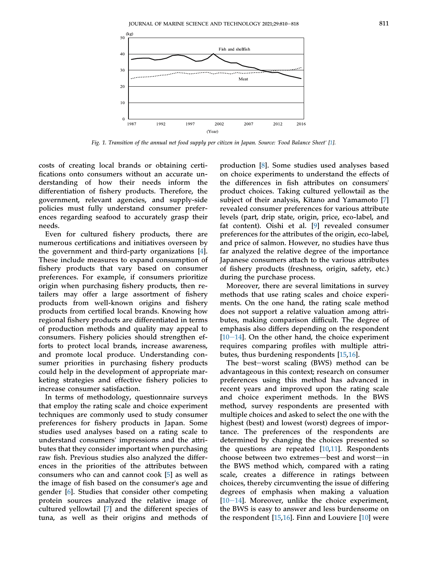<span id="page-2-0"></span>

Fig. 1. Transition of the annual net food supply per citizen in Japan. Source: 'Food Balance Sheet' [\[1](#page-9-0)].

costs of creating local brands or obtaining certifications onto consumers without an accurate understanding of how their needs inform the differentiation of fishery products. Therefore, the government, relevant agencies, and supply-side policies must fully understand consumer preferences regarding seafood to accurately grasp their needs.

Even for cultured fishery products, there are numerous certifications and initiatives overseen by the government and third-party organizations [\[4](#page-9-3)]. These include measures to expand consumption of fishery products that vary based on consumer preferences. For example, if consumers prioritize origin when purchasing fishery products, then retailers may offer a large assortment of fishery products from well-known origins and fishery products from certified local brands. Knowing how regional fishery products are differentiated in terms of production methods and quality may appeal to consumers. Fishery policies should strengthen efforts to protect local brands, increase awareness, and promote local produce. Understanding consumer priorities in purchasing fishery products could help in the development of appropriate marketing strategies and effective fishery policies to increase consumer satisfaction.

In terms of methodology, questionnaire surveys that employ the rating scale and choice experiment techniques are commonly used to study consumer preferences for fishery products in Japan. Some studies used analyses based on a rating scale to understand consumers' impressions and the attributes that they consider important when purchasing raw fish. Previous studies also analyzed the differences in the priorities of the attributes between consumers who can and cannot cook [\[5](#page-9-4)] as well as the image of fish based on the consumer's age and gender [[6\]](#page-9-5). Studies that consider other competing protein sources analyzed the relative image of cultured yellowtail [[7\]](#page-9-6) and the different species of tuna, as well as their origins and methods of

production [[8\]](#page-9-7). Some studies used analyses based on choice experiments to understand the effects of the differences in fish attributes on consumers' product choices. Taking cultured yellowtail as the subject of their analysis, Kitano and Yamamoto [\[7](#page-9-6)] revealed consumer preferences for various attribute levels (part, drip state, origin, price, eco-label, and fat content). Oishi et al. [[9\]](#page-9-8) revealed consumer preferences for the attributes of the origin, eco-label, and price of salmon. However, no studies have thus far analyzed the relative degree of the importance Japanese consumers attach to the various attributes of fishery products (freshness, origin, safety, etc.) during the purchase process.

Moreover, there are several limitations in survey methods that use rating scales and choice experiments. On the one hand, the rating scale method does not support a relative valuation among attributes, making comparison difficult. The degree of emphasis also differs depending on the respondent  $[10-14]$  $[10-14]$  $[10-14]$ . On the other hand, the choice experiment requires comparing profiles with multiple attributes, thus burdening respondents [[15,](#page-9-10)[16](#page-9-11)].

The best-worst scaling (BWS) method can be advantageous in this context; research on consumer preferences using this method has advanced in recent years and improved upon the rating scale and choice experiment methods. In the BWS method, survey respondents are presented with multiple choices and asked to select the one with the highest (best) and lowest (worst) degrees of importance. The preferences of the respondents are determined by changing the choices presented so the questions are repeated [\[10](#page-9-9)[,11](#page-9-12)]. Respondents choose between two extremes—best and worst—in the BWS method which, compared with a rating scale, creates a difference in ratings between choices, thereby circumventing the issue of differing degrees of emphasis when making a valuation  $[10-14]$  $[10-14]$  $[10-14]$ . Moreover, unlike the choice experiment, the BWS is easy to answer and less burdensome on the respondent [\[15](#page-9-10),[16\]](#page-9-11). Finn and Louviere [[10\]](#page-9-9) were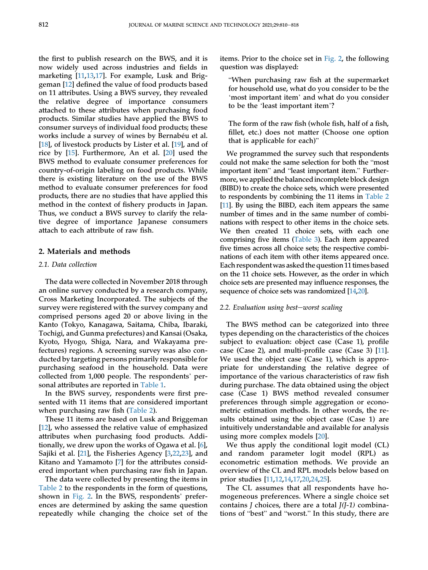the first to publish research on the BWS, and it is now widely used across industries and fields in marketing [\[11](#page-9-12),[13,](#page-9-13)[17](#page-9-14)]. For example, Lusk and Briggeman [\[12](#page-9-15)] defined the value of food products based on 11 attributes. Using a BWS survey, they revealed the relative degree of importance consumers attached to these attributes when purchasing food products. Similar studies have applied the BWS to consumer surveys of individual food products; these works include a survey of wines by Bernabéu et al. [\[18](#page-9-16)], of livestock products by Lister et al. [[19\]](#page-9-17), and of rice by [[15\]](#page-9-10). Furthermore, An et al. [\[20](#page-9-18)] used the BWS method to evaluate consumer preferences for country-of-origin labeling on food products. While there is existing literature on the use of the BWS method to evaluate consumer preferences for food products, there are no studies that have applied this method in the context of fishery products in Japan. Thus, we conduct a BWS survey to clarify the relative degree of importance Japanese consumers attach to each attribute of raw fish.

# 2. Materials and methods

#### 2.1. Data collection

The data were collected in November 2018 through an online survey conducted by a research company, Cross Marketing Incorporated. The subjects of the survey were registered with the survey company and comprised persons aged 20 or above living in the Kanto (Tokyo, Kanagawa, Saitama, Chiba, Ibaraki, Tochigi, and Gunma prefectures) and Kansai (Osaka, Kyoto, Hyogo, Shiga, Nara, and Wakayama prefectures) regions. A screening survey was also conducted by targeting persons primarily responsible for purchasing seafood in the household. Data were collected from 1,000 people. The respondents' personal attributes are reported in [Table 1](#page-4-0).

In the BWS survey, respondents were first presented with 11 items that are considered important when purchasing raw fish ([Table 2\)](#page-4-1).

These 11 items are based on Lusk and Briggeman [\[12](#page-9-15)], who assessed the relative value of emphasized attributes when purchasing food products. Additionally, we drew upon the works of Ogawa et al. [\[6](#page-9-5)], Sajiki et al. [\[21](#page-9-19)], the Fisheries Agency [[3](#page-9-2)[,22](#page-9-20),[23\]](#page-9-21), and Kitano and Yamamoto [[7\]](#page-9-6) for the attributes considered important when purchasing raw fish in Japan.

The data were collected by presenting the items in [Table 2](#page-4-1) to the respondents in the form of questions, shown in [Fig. 2.](#page-5-0) In the BWS, respondents' preferences are determined by asking the same question repeatedly while changing the choice set of the items. Prior to the choice set in [Fig. 2,](#page-5-0) the following question was displayed:

When purchasing raw fish at the supermarket 'for household use, what do you consider to be the when purchasing raw lish at the supermarket<br>or household use, what do you consider to be the<br>most important item' and what do you consider for nousehold use, what do you<br>
'most important item' and what<br>
to be the 'least important item'?

The form of the raw fish (whole fish, half of a fish, fillet, etc.) does not matter (Choose one option that is applicable for each)"

We programmed the survey such that respondents We programmed the survey such that respondents<br>could not make the same selection for both the "most could not make the same selection for both the "most important item." Furthermore, we applied the balanced incomplete block design (BIBD) to create the choice sets, which were presented to respondents by combining the 11 items in [Table 2](#page-4-1) [\[11\]](#page-9-12). By using the BIBD, each item appears the same number of times and in the same number of combinations with respect to other items in the choice sets. We then created 11 choice sets, with each one comprising five items [\(Table 3](#page-5-1)). Each item appeared five times across all choice sets; the respective combinations of each item with other items appeared once. Each respondent was asked the question 11 times based on the 11 choice sets. However, as the order in which choice sets are presented may influence responses, the sequence of choice sets was randomized [\[14](#page-9-22)[,20\]](#page-9-18).

#### $2.2.$  Evaluation using best-worst scaling

The BWS method can be categorized into three types depending on the characteristics of the choices subject to evaluation: object case (Case 1), profile case (Case 2), and multi-profile case (Case 3) [[11\]](#page-9-12). We used the object case (Case 1), which is appropriate for understanding the relative degree of importance of the various characteristics of raw fish during purchase. The data obtained using the object case (Case 1) BWS method revealed consumer preferences through simple aggregation or econometric estimation methods. In other words, the results obtained using the object case (Case 1) are intuitively understandable and available for analysis using more complex models [\[20](#page-9-18)].

We thus apply the conditional logit model (CL) and random parameter logit model (RPL) as econometric estimation methods. We provide an overview of the CL and RPL models below based on prior studies [[11,](#page-9-12)[12](#page-9-15),[14,](#page-9-22)[17](#page-9-14)[,20](#page-9-18),[24](#page-9-23)[,25](#page-9-24)].

The CL assumes that all respondents have homogeneous preferences. Where a single choice set contains *J* choices, there are a total  $J(J-1)$  combinamogeneous prererences. where a single choice set<br>contains *J* choices, there are a total *J*(*J*-1) combina-<br>tions of "best" and "worst." In this study, there are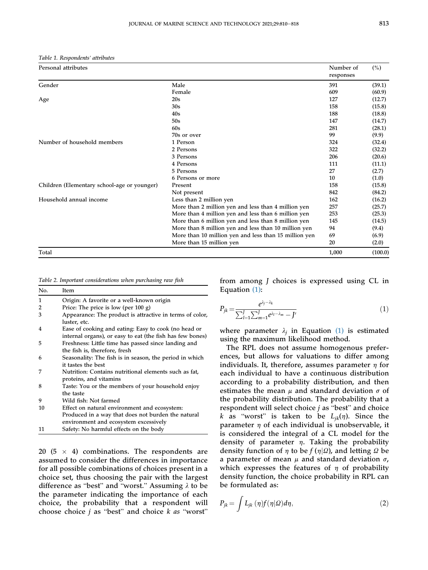<span id="page-4-0"></span>Table 1. Respondents' attributes

| Personal attributes                         |                                                       | Number of<br>responses | $(\%)$  |
|---------------------------------------------|-------------------------------------------------------|------------------------|---------|
| Gender                                      | Male                                                  | 391                    | (39.1)  |
|                                             | Female                                                | 609                    | (60.9)  |
| Age                                         | 20s                                                   | 127                    | (12.7)  |
|                                             | 30s                                                   | 158                    | (15.8)  |
|                                             | 40s                                                   | 188                    | (18.8)  |
|                                             | 50s                                                   | 147                    | (14.7)  |
|                                             | 60s                                                   | 281                    | (28.1)  |
|                                             | 70s or over                                           | 99                     | (9.9)   |
| Number of household members                 | 1 Person                                              | 324                    | (32.4)  |
|                                             | 2 Persons                                             | 322                    | (32.2)  |
|                                             | 3 Persons                                             | 206                    | (20.6)  |
|                                             | 4 Persons                                             | 111                    | (11.1)  |
|                                             | 5 Persons                                             | 27                     | (2.7)   |
|                                             | 6 Persons or more                                     | 10                     | (1.0)   |
| Children (Elementary school-age or younger) | Present                                               | 158                    | (15.8)  |
|                                             | Not present                                           | 842                    | (84.2)  |
| Household annual income                     | Less than 2 million yen                               | 162                    | (16.2)  |
|                                             | More than 2 million yen and less than 4 million yen   | 257                    | (25.7)  |
|                                             | More than 4 million yen and less than 6 million yen   | 253                    | (25.3)  |
|                                             | More than 6 million yen and less than 8 million yen   | 145                    | (14.5)  |
|                                             | More than 8 million yen and less than 10 million yen  | 94                     | (9.4)   |
|                                             | More than 10 million yen and less than 15 million yen | 69                     | (6.9)   |
|                                             | More than 15 million yen                              | 20                     | (2.0)   |
| Total                                       |                                                       | 1,000                  | (100.0) |

<span id="page-4-1"></span>Table 2. Important considerations when purchasing raw fish

| No. | Item                                                                            |
|-----|---------------------------------------------------------------------------------|
| 1   | Origin: A favorite or a well-known origin                                       |
| 2   | Price: The price is low (per $100 g$ )                                          |
| 3   | Appearance: The product is attractive in terms of color,<br>luster, etc.        |
| 4   | Ease of cooking and eating: Easy to cook (no head or                            |
|     | internal organs), or easy to eat (the fish has few bones)                       |
| 5   | Freshness: Little time has passed since landing and                             |
|     | the fish is, therefore, fresh                                                   |
| 6   | Seasonality: The fish is in season, the period in which                         |
|     | it tastes the best                                                              |
|     | Nutrition: Contains nutritional elements such as fat,<br>proteins, and vitamins |
| 8   | Taste: You or the members of your household enjoy                               |
|     | the taste                                                                       |
| 9   | Wild fish: Not farmed                                                           |
| 10  | Effect on natural environment and ecosystem:                                    |
|     | Produced in a way that does not burden the natural                              |
|     | environment and ecosystem excessively                                           |
| 11  | Safety: No harmful effects on the body                                          |

20 (5  $\times$  4) combinations. The respondents are assumed to consider the differences in importance for all possible combinations of choices present in a choice set, thus choosing the pair with the largest difference as "best" and "worst." Assuming  $\lambda$  to be the parameter indicating the importance of each choice, the probability that a respondent will the parameter indicating the importance of each<br>choice, the probability that a respondent will<br>choose choice *j* as "best" and choice *k as* "worst"

from among J choices is expressed using CL in Equation [\(1\):](#page-4-2)

<span id="page-4-2"></span>
$$
P_{jk} = \frac{e^{\lambda_j - \lambda_k}}{\sum_{l=1}^{J} \sum_{m=1}^{J} e^{\lambda_l - \lambda_m} - J'}
$$
(1)

where parameter  $\lambda_i$  in Equation [\(1\)](#page-4-2) is estimated using the maximum likelihood method.

The RPL does not assume homogenous preferences, but allows for valuations to differ among individuals. It, therefore, assumes parameter  $\eta$  for each individual to have a continuous distribution according to a probability distribution, and then estimates the mean  $\mu$  and standard deviation  $\sigma$  of the probability distribution. The probability that a estimates the mean  $\mu$  and standard deviation  $\sigma$  or<br>the probability distribution. The probability that a<br>respondent will select choice *j* as "best" and choice respondent will select choice *j* as "best" and choice *k* as "worst" is taken to be  $L_{jk}(\eta)$ . Since the parameter  $\eta$  of each individual is unobservable, it is considered the integral of a CL model for the density of parameter  $\eta$ . Taking the probability density function of  $\eta$  to be  $f(\eta|\mathcal{Q})$ , and letting  $\mathcal Q$  be a parameter of mean  $\mu$  and standard deviation  $\sigma$ , which expresses the features of  $\eta$  of probability density function, the choice probability in RPL can be formulated as:

$$
P_{jk} = \int L_{jk}(\eta) f(\eta | \Omega) d\eta, \qquad (2)
$$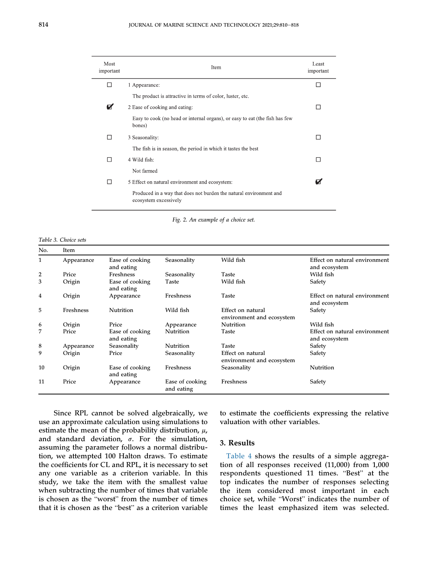<span id="page-5-0"></span>

| Most<br>important | Item                                                                                        | Least<br>important |
|-------------------|---------------------------------------------------------------------------------------------|--------------------|
| - 1               | 1 Appearance:                                                                               |                    |
|                   | The product is attractive in terms of color, luster, etc.                                   |                    |
| Ø                 | 2 Ease of cooking and eating:                                                               | $\mathsf{L}$       |
|                   | Easy to cook (no head or internal organs), or easy to eat (the fish has few<br>bones)       |                    |
| H                 | 3 Seasonality:                                                                              |                    |
|                   | The fish is in season, the period in which it tastes the best                               |                    |
| - 1               | 4 Wild fish:                                                                                |                    |
|                   | Not farmed                                                                                  |                    |
| - 1               | 5 Effect on natural environment and ecosystem:                                              |                    |
|                   | Produced in a way that does not burden the natural environment and<br>ecosystem excessively |                    |

Fig. 2. An example of a choice set.

<span id="page-5-1"></span>Table 3. Choice sets

| No.          | Item       |                               |                               |                                                |                                                |
|--------------|------------|-------------------------------|-------------------------------|------------------------------------------------|------------------------------------------------|
| $\mathbf{1}$ | Appearance | Ease of cooking<br>and eating | Seasonality                   | Wild fish                                      | Effect on natural environment<br>and ecosystem |
| 2            | Price      | Freshness                     | Seasonality                   | Taste                                          | Wild fish                                      |
| 3            | Origin     | Ease of cooking<br>and eating | Taste                         | Wild fish                                      | Safety                                         |
| 4            | Origin     | Appearance                    | Freshness                     | Taste                                          | Effect on natural environment<br>and ecosystem |
| 5            | Freshness  | Nutrition                     | Wild fish                     | Effect on natural<br>environment and ecosystem | Safety                                         |
| 6            | Origin     | Price                         | Appearance                    | Nutrition                                      | Wild fish                                      |
| 7            | Price      | Ease of cooking<br>and eating | Nutrition                     | Taste                                          | Effect on natural environment<br>and ecosystem |
| 8            | Appearance | Seasonality                   | Nutrition                     | Taste                                          | Safety                                         |
| 9            | Origin     | Price                         | Seasonality                   | Effect on natural<br>environment and ecosystem | Safety                                         |
| 10           | Origin     | Ease of cooking<br>and eating | Freshness                     | Seasonality                                    | Nutrition                                      |
| 11           | Price      | Appearance                    | Ease of cooking<br>and eating | Freshness                                      | Safety                                         |

Since RPL cannot be solved algebraically, we use an approximate calculation using simulations to estimate the mean of the probability distribution,  $\mu$ , and standard deviation,  $\sigma$ . For the simulation, assuming the parameter follows a normal distribution, we attempted 100 Halton draws. To estimate the coefficients for CL and RPL, it is necessary to set any one variable as a criterion variable. In this study, we take the item with the smallest value when subtracting the number of times that variable study, we take the nem with the smallest value<br>when subtracting the number of times that variable<br>is chosen as the "worst" from the number of times is chosen as the "worst" from the number of times<br>that it is chosen as the "best" as a criterion variable to estimate the coefficients expressing the relative valuation with other variables.

# 3. Results

[Table 4](#page-6-0) shows the results of a simple aggregation of all responses received (11,000) from 1,000 respondents questioned 11 times. "Best" at the top indicates the number of responses selecting the item considered most important in each top muicates the number of responses selecting<br>the item considered most important in each<br>choice set, while "Worst" indicates the number of times the least emphasized item was selected.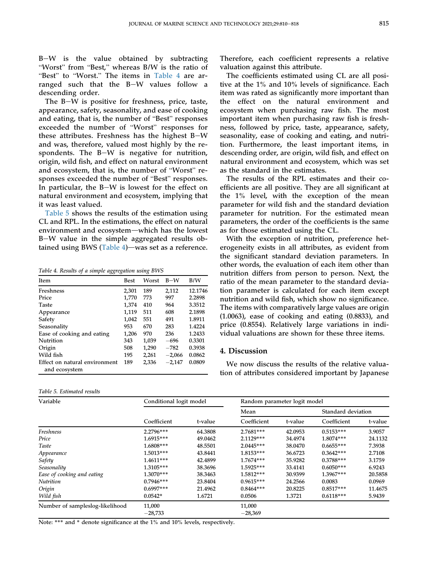$B-W$  is the value obtained by subtracting Worst" from "Best," whereas B/W is the ratio of <u>"</u> Best" to "Worst." The items in [Table 4](#page-6-0) are arranged such that the B-W values follow a descending order.

The B $-W$  is positive for freshness, price, taste, appearance, safety, seasonality, and ease of cooking Ine b-*vv* is positive for freshness, price, taste,<br>appearance, safety, seasonality, and ease of cooking<br>and eating, that is, the number of "Best" responses and eating, that is, the number of "Best" responses exceeded the number of "Worst" responses for these attributes. Freshness has the highest  $B-W$ and was, therefore, valued most highly by the respondents. The  $B-W$  is negative for nutrition, spondents. The B-W is negauve for nutrition,<br>origin, wild fish, and effect on natural environment<br>and ecosystem, that is, the number of "Worst" reand ecosystem, that is, the number of "Worst" responses exceeded the number of "Best" responses. In particular, the  $B-W$  is lowest for the effect on natural environment and ecosystem, implying that it was least valued.

[Table 5](#page-6-1) shows the results of the estimation using CL and RPL. In the estimations, the effect on natural environment and ecosystem-which has the lowest B-W value in the simple aggregated results ob-tained using BWS ([Table 4\)](#page-6-0)—was set as a reference.

<span id="page-6-0"></span>Table 4. Results of a simple aggregation using BWS

| <b>Item</b>                                    | <b>Best</b> | Worst | $B-W$    | B/W     |
|------------------------------------------------|-------------|-------|----------|---------|
| Freshness                                      | 2,301       | 189   | 2,112    | 12.1746 |
| Price                                          | 1,770       | 773   | 997      | 2.2898  |
| Taste                                          | 1,374       | 410   | 964      | 3.3512  |
| Appearance                                     | 1,119       | 511   | 608      | 2.1898  |
| Safety                                         | 1,042       | 551   | 491      | 1.8911  |
| Seasonality                                    | 953         | 670   | 283      | 1.4224  |
| Ease of cooking and eating                     | 1,206       | 970   | 236      | 1.2433  |
| Nutrition                                      | 343         | 1,039 | -696     | 0.3301  |
| Origin                                         | 508         | 1,290 | $-782$   | 0.3938  |
| Wild fish                                      | 195         | 2,261 | $-2,066$ | 0.0862  |
| Effect on natural environment<br>and ecosystem | 189         | 2,336 | $-2,147$ | 0.0809  |

<span id="page-6-1"></span>

| Table 5. Estimated results |  |  |
|----------------------------|--|--|
|----------------------------|--|--|

Therefore, each coefficient represents a relative valuation against this attribute.

The coefficients estimated using CL are all positive at the 1% and 10% levels of significance. Each item was rated as significantly more important than the effect on the natural environment and ecosystem when purchasing raw fish. The most important item when purchasing raw fish is freshness, followed by price, taste, appearance, safety, seasonality, ease of cooking and eating, and nutrition. Furthermore, the least important items, in descending order, are origin, wild fish, and effect on natural environment and ecosystem, which was set as the standard in the estimates.

The results of the RPL estimates and their coefficients are all positive. They are all significant at the 1% level, with the exception of the mean parameter for wild fish and the standard deviation parameter for nutrition. For the estimated mean parameters, the order of the coefficients is the same as for those estimated using the CL.

With the exception of nutrition, preference heterogeneity exists in all attributes, as evident from the significant standard deviation parameters. In other words, the evaluation of each item other than nutrition differs from person to person. Next, the ratio of the mean parameter to the standard deviation parameter is calculated for each item except nutrition and wild fish, which show no significance. The items with comparatively large values are origin (1.0063), ease of cooking and eating (0.8833), and price (0.8554). Relatively large variations in individual valuations are shown for these three items.

### <span id="page-6-2"></span>4. Discussion

We now discuss the results of the relative valuation of attributes considered important by Japanese

| Variable                        | Conditional logit model |         |             | Random parameter logit model |                    |         |  |
|---------------------------------|-------------------------|---------|-------------|------------------------------|--------------------|---------|--|
|                                 | Coefficient             | t-value | Mean        |                              | Standard deviation |         |  |
|                                 |                         |         | Coefficient | t-value                      | Coefficient        | t-value |  |
| Freshness                       | 2.2796***               | 64.3808 | $2.7681***$ | 42.0953                      | $0.5153***$        | 3.9057  |  |
| Price                           | 1.6915***               | 49.0462 | 2.1129 ***  | 34.4974                      | 1.8074***          | 24.1132 |  |
| Taste                           | 1.6808***               | 48.5501 | 2.0445***   | 38.0470                      | $0.6655***$        | 7.3938  |  |
| Appearance                      | $1.5013***$             | 43.8441 | 1.8153***   | 36.6723                      | $0.3642***$        | 2.7108  |  |
| Safety                          | $1.4611***$             | 42.4899 | $1.7674***$ | 35.9282                      | $0.3788***$        | 3.1759  |  |
| Seasonality                     | 1.3105***               | 38.3696 | 1.5925***   | 33.4141                      | $0.6050***$        | 6.9243  |  |
| Ease of cooking and eating      | $1.3070***$             | 38.3463 | 1.5812***   | 30.9399                      | 1.3967***          | 20.5858 |  |
| Nutrition                       | $0.7946***$             | 23.8404 | $0.9615***$ | 24.2566                      | 0.0083             | 0.0969  |  |
| Origin                          | $0.6997***$             | 21.4962 | $0.8464***$ | 20.8225                      | $0.8517***$        | 11.4675 |  |
| Wild fish                       | $0.0542*$               | 1.6721  | 0.0506      | 1.3721                       | $0.6118***$        | 5.9439  |  |
| Number of sampleslog-likelihood | 11,000                  |         | 11,000      |                              |                    |         |  |
|                                 | $-28,733$               |         | $-28,369$   |                              |                    |         |  |

Note: \*\*\* and \* denote significance at the 1% and 10% levels, respectively.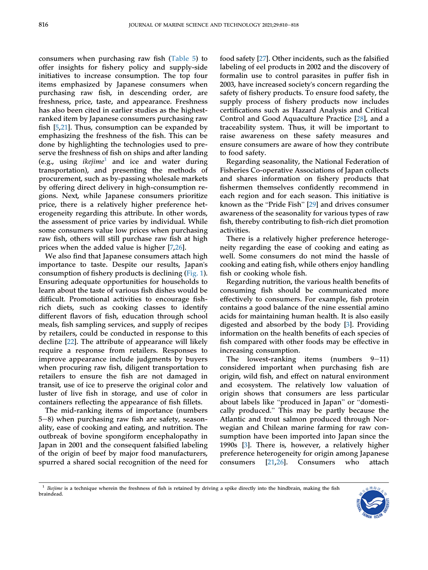consumers when purchasing raw fish ([Table 5\)](#page-6-1) to offer insights for fishery policy and supply-side initiatives to increase consumption. The top four items emphasized by Japanese consumers when purchasing raw fish, in descending order, are freshness, price, taste, and appearance. Freshness has also been cited in earlier studies as the highestranked item by Japanese consumers purchasing raw fish [\[5](#page-9-4),[21\]](#page-9-19). Thus, consumption can be expanded by emphasizing the freshness of the fish. This can be done by highlighting the technologies used to preserve the freshness of fish on ships and after landing (e.g., using *ikejime*<sup>[1](#page-7-0)</sup> and ice and water during transportation), and presenting the methods of procurement, such as by-passing wholesale markets by offering direct delivery in high-consumption regions. Next, while Japanese consumers prioritize price, there is a relatively higher preference heterogeneity regarding this attribute. In other words, the assessment of price varies by individual. While some consumers value low prices when purchasing raw fish, others will still purchase raw fish at high prices when the added value is higher [\[7](#page-9-6),[26\]](#page-9-25).

We also find that Japanese consumers attach high importance to taste. Despite our results, Japan's consumption of fishery products is declining ([Fig. 1](#page-2-0)). Ensuring adequate opportunities for households to learn about the taste of various fish dishes would be difficult. Promotional activities to encourage fishrich diets, such as cooking classes to identify different flavors of fish, education through school meals, fish sampling services, and supply of recipes by retailers, could be conducted in response to this decline [\[22](#page-9-20)]. The attribute of appearance will likely require a response from retailers. Responses to improve appearance include judgments by buyers when procuring raw fish, diligent transportation to retailers to ensure the fish are not damaged in transit, use of ice to preserve the original color and luster of live fish in storage, and use of color in containers reflecting the appearance of fish fillets.

The mid-ranking items of importance (numbers  $5-8$ ) when purchasing raw fish are safety, seasonality, ease of cooking and eating, and nutrition. The outbreak of bovine spongiform encephalopathy in Japan in 2001 and the consequent falsified labeling of the origin of beef by major food manufacturers, spurred a shared social recognition of the need for food safety [[27\]](#page-9-26). Other incidents, such as the falsified labeling of eel products in 2002 and the discovery of formalin use to control parasites in puffer fish in 2003, have increased society's concern regarding the safety of fishery products. To ensure food safety, the supply process of fishery products now includes certifications such as Hazard Analysis and Critical Control and Good Aquaculture Practice [\[28](#page-9-27)], and a traceability system. Thus, it will be important to raise awareness on these safety measures and ensure consumers are aware of how they contribute to food safety.

Regarding seasonality, the National Federation of Fisheries Co-operative Associations of Japan collects and shares information on fishery products that fishermen themselves confidently recommend in each region and for each season. This initiative is known as the "Pride Fish" [\[29](#page-9-28)] and drives consumer awareness of the seasonality for various types of raw fish, thereby contributing to fish-rich diet promotion activities.

There is a relatively higher preference heterogeneity regarding the ease of cooking and eating as well. Some consumers do not mind the hassle of cooking and eating fish, while others enjoy handling fish or cooking whole fish.

Regarding nutrition, the various health benefits of consuming fish should be communicated more effectively to consumers. For example, fish protein contains a good balance of the nine essential amino acids for maintaining human health. It is also easily digested and absorbed by the body [[3\]](#page-9-2). Providing information on the health benefits of each species of fish compared with other foods may be effective in increasing consumption.

The lowest-ranking items (numbers  $9-11$ ) considered important when purchasing fish are origin, wild fish, and effect on natural environment and ecosystem. The relatively low valuation of origin shows that consumers are less particular about labels like "produced in Japan" or "domestically produced." This may be partly because the Atlantic and trout salmon produced through Norwegian and Chilean marine farming for raw consumption have been imported into Japan since the 1990s [[3\]](#page-9-2). There is, however, a relatively higher preference heterogeneity for origin among Japanese consumers [\[21,](#page-9-19)[26\]](#page-9-25). Consumers who attach

<span id="page-7-0"></span> $1$  Ikejime is a technique wherein the freshness of fish is retained by driving a spike directly into the hindbrain, making the fish braindead.

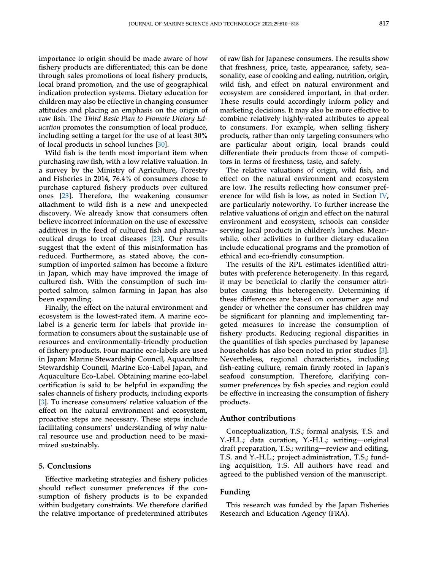importance to origin should be made aware of how fishery products are differentiated; this can be done through sales promotions of local fishery products, local brand promotion, and the use of geographical indication protection systems. Dietary education for children may also be effective in changing consumer attitudes and placing an emphasis on the origin of raw fish. The Third Basic Plan to Promote Dietary Education promotes the consumption of local produce, including setting a target for the use of at least 30% of local products in school lunches [\[30](#page-9-29)].

Wild fish is the tenth most important item when purchasing raw fish, with a low relative valuation. In a survey by the Ministry of Agriculture, Forestry and Fisheries in 2014, 76.4% of consumers chose to purchase captured fishery products over cultured ones [\[23](#page-9-21)]. Therefore, the weakening consumer attachment to wild fish is a new and unexpected discovery. We already know that consumers often believe incorrect information on the use of excessive additives in the feed of cultured fish and pharmaceutical drugs to treat diseases [\[23](#page-9-21)]. Our results suggest that the extent of this misinformation has reduced. Furthermore, as stated above, the consumption of imported salmon has become a fixture in Japan, which may have improved the image of cultured fish. With the consumption of such imported salmon, salmon farming in Japan has also been expanding.

Finally, the effect on the natural environment and ecosystem is the lowest-rated item. A marine ecolabel is a generic term for labels that provide information to consumers about the sustainable use of resources and environmentally-friendly production of fishery products. Four marine eco-labels are used in Japan: Marine Stewardship Council, Aquaculture Stewardship Council, Marine Eco-Label Japan, and Aquaculture Eco-Label. Obtaining marine eco-label certification is said to be helpful in expanding the sales channels of fishery products, including exports [\[3](#page-9-2)]. To increase consumers' relative valuation of the effect on the natural environment and ecosystem, proactive steps are necessary. These steps include facilitating consumers' understanding of why natural resource use and production need to be maximized sustainably.

#### 5. Conclusions

Effective marketing strategies and fishery policies should reflect consumer preferences if the consumption of fishery products is to be expanded within budgetary constraints. We therefore clarified the relative importance of predetermined attributes of raw fish for Japanese consumers. The results show that freshness, price, taste, appearance, safety, seasonality, ease of cooking and eating, nutrition, origin, wild fish, and effect on natural environment and ecosystem are considered important, in that order. These results could accordingly inform policy and marketing decisions. It may also be more effective to combine relatively highly-rated attributes to appeal to consumers. For example, when selling fishery products, rather than only targeting consumers who are particular about origin, local brands could differentiate their products from those of competitors in terms of freshness, taste, and safety.

The relative valuations of origin, wild fish, and effect on the natural environment and ecosystem are low. The results reflecting how consumer pref-erence for wild fish is low, as noted in Section [IV,](#page-6-2) are particularly noteworthy. To further increase the relative valuations of origin and effect on the natural environment and ecosystem, schools can consider serving local products in children's lunches. Meanwhile, other activities to further dietary education include educational programs and the promotion of ethical and eco-friendly consumption.

The results of the RPL estimates identified attributes with preference heterogeneity. In this regard, it may be beneficial to clarify the consumer attributes causing this heterogeneity. Determining if these differences are based on consumer age and gender or whether the consumer has children may be significant for planning and implementing targeted measures to increase the consumption of fishery products. Reducing regional disparities in the quantities of fish species purchased by Japanese households has also been noted in prior studies [[3\]](#page-9-2). Nevertheless, regional characteristics, including fish-eating culture, remain firmly rooted in Japan's seafood consumption. Therefore, clarifying consumer preferences by fish species and region could be effective in increasing the consumption of fishery products.

#### Author contributions

Conceptualization, T.S.; formal analysis, T.S. and  $Y.-H.L.;$  data curation,  $Y.-H.L.;$  writing—original draft preparation, T.S.; writing—review and editing, T.S. and Y.-H.L.; project administration, T.S.; funding acquisition, T.S. All authors have read and agreed to the published version of the manuscript.

# Funding

This research was funded by the Japan Fisheries Research and Education Agency (FRA).